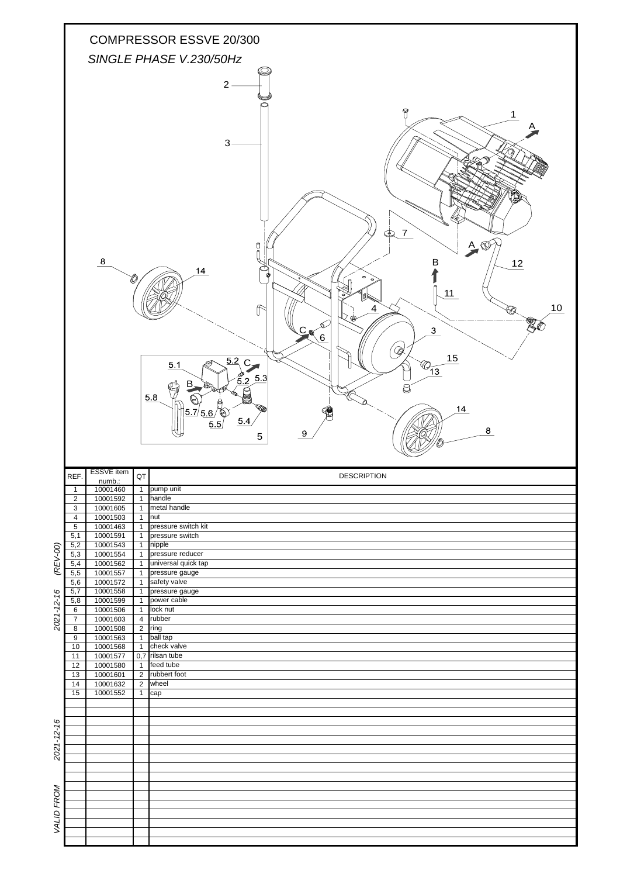|                                            |                                  |                      |                                        | COMPRESSOR ESSVE 20/300<br>SINGLE PHASE V.230/50Hz                                                                                                                                                                                                                                                                                                                    |
|--------------------------------------------|----------------------------------|----------------------|----------------------------------------|-----------------------------------------------------------------------------------------------------------------------------------------------------------------------------------------------------------------------------------------------------------------------------------------------------------------------------------------------------------------------|
|                                            |                                  |                      |                                        | $2 -$                                                                                                                                                                                                                                                                                                                                                                 |
|                                            |                                  | $\bf8$               |                                        | ନ<br>$\mathbf{1}$<br>3<br>$\overline{7}$<br>Ð<br>$A \n\circledcirc$<br>Ū<br>В<br>12<br>14<br>ø<br>11<br>10<br>⇑<br>Δ<br>¥¢<br>3 <sub>l</sub><br>$\mathsf{C}_\mathsf{N}$<br>$\delta$<br>' @<br>15<br>$\overline{\frac{5.2}{}}$ C<br>$\bigcirc$ <sub>13</sub><br>5.1<br>$\overline{5.3}$<br>.2<br>g<br>5.8<br>14<br>5.7/5.6/<br>U<br>5.4<br>5.5<br>8<br>9<br>$\sqrt{5}$ |
|                                            |                                  |                      |                                        |                                                                                                                                                                                                                                                                                                                                                                       |
|                                            |                                  | <b>ESSVE</b> item    |                                        | <b>DESCRIPTION</b>                                                                                                                                                                                                                                                                                                                                                    |
|                                            | REF.<br>Т.                       | numb.:<br>10001460   | $\mathsf{Q}\mathsf{T}$<br>$\mathbf{1}$ | pump unit                                                                                                                                                                                                                                                                                                                                                             |
|                                            | $\overline{2}$<br>3              | 10001592<br>10001605 | $\mathbf{1}$                           | 1 handle<br>metal handle                                                                                                                                                                                                                                                                                                                                              |
|                                            | $\overline{4}$                   | 10001503             | $\overline{1}$                         | nut<br>pressure switch kit                                                                                                                                                                                                                                                                                                                                            |
|                                            | $\overline{5}$<br>5,1            | 10001463<br>10001591 | $\overline{1}$<br>$\overline{1}$       | pressure switch                                                                                                                                                                                                                                                                                                                                                       |
|                                            | 5,2<br>5,3                       | 10001543<br>10001554 | $\overline{1}$<br>$\overline{1}$       | nipple<br>pressure reducer                                                                                                                                                                                                                                                                                                                                            |
|                                            | 5,4<br>5,5                       | 10001562<br>10001557 | $\overline{1}$<br>$\overline{1}$       | universal quick tap<br>pressure gauge                                                                                                                                                                                                                                                                                                                                 |
|                                            | 5,6<br>5,7                       | 10001572<br>10001558 | $\overline{1}$<br>$\mathbf{1}$         | safety valve<br>pressure gauge                                                                                                                                                                                                                                                                                                                                        |
|                                            | 5,8<br>$\,6\,$                   | 10001599             | $\mathbf{1}$<br>$\mathbf{1}$           | power cable<br>lock nut                                                                                                                                                                                                                                                                                                                                               |
|                                            | $\overline{7}$                   | 10001506<br>10001603 | $\overline{4}$                         | rubber                                                                                                                                                                                                                                                                                                                                                                |
|                                            | $\overline{8}$<br>$\overline{9}$ | 10001508<br>10001563 | $\overline{2}$<br>$\overline{1}$       | ring<br>ball tap                                                                                                                                                                                                                                                                                                                                                      |
|                                            | 10<br>11                         | 10001568<br>10001577 | $\mathbf{1}$<br>0,7                    | check valve<br>rilsan tube                                                                                                                                                                                                                                                                                                                                            |
|                                            | 12<br>13                         | 10001580<br>10001601 | $\overline{1}$<br>$\overline{2}$       | feed tube<br>rubbert foot                                                                                                                                                                                                                                                                                                                                             |
|                                            | 14<br>15                         | 10001632<br>10001552 | $\overline{2}$<br>$\mathbf{1}$         | wheel<br>cap                                                                                                                                                                                                                                                                                                                                                          |
|                                            |                                  |                      |                                        |                                                                                                                                                                                                                                                                                                                                                                       |
|                                            |                                  |                      |                                        |                                                                                                                                                                                                                                                                                                                                                                       |
|                                            |                                  |                      |                                        |                                                                                                                                                                                                                                                                                                                                                                       |
|                                            |                                  |                      |                                        |                                                                                                                                                                                                                                                                                                                                                                       |
|                                            |                                  |                      |                                        |                                                                                                                                                                                                                                                                                                                                                                       |
|                                            |                                  |                      |                                        |                                                                                                                                                                                                                                                                                                                                                                       |
| (REV-00)<br>$2021 - 12 - 16$<br>2021-12-16 |                                  |                      |                                        |                                                                                                                                                                                                                                                                                                                                                                       |
| VALID FROM                                 |                                  |                      |                                        |                                                                                                                                                                                                                                                                                                                                                                       |